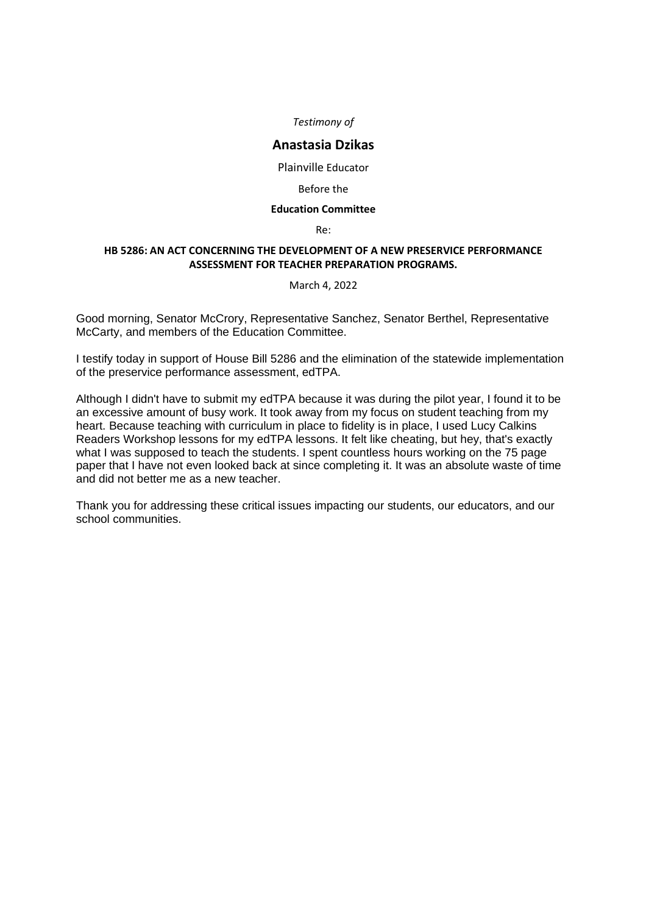## **Anastasia Dzikas**

Plainville Educator

## Before the

## **Education Committee**

Re:

## **HB 5286: AN ACT CONCERNING THE DEVELOPMENT OF A NEW PRESERVICE PERFORMANCE ASSESSMENT FOR TEACHER PREPARATION PROGRAMS.**

### March 4, 2022

Good morning, Senator McCrory, Representative Sanchez, Senator Berthel, Representative McCarty, and members of the Education Committee.

I testify today in support of House Bill 5286 and the elimination of the statewide implementation of the preservice performance assessment, edTPA.

Although I didn't have to submit my edTPA because it was during the pilot year, I found it to be an excessive amount of busy work. It took away from my focus on student teaching from my heart. Because teaching with curriculum in place to fidelity is in place, I used Lucy Calkins Readers Workshop lessons for my edTPA lessons. It felt like cheating, but hey, that's exactly what I was supposed to teach the students. I spent countless hours working on the 75 page paper that I have not even looked back at since completing it. It was an absolute waste of time and did not better me as a new teacher.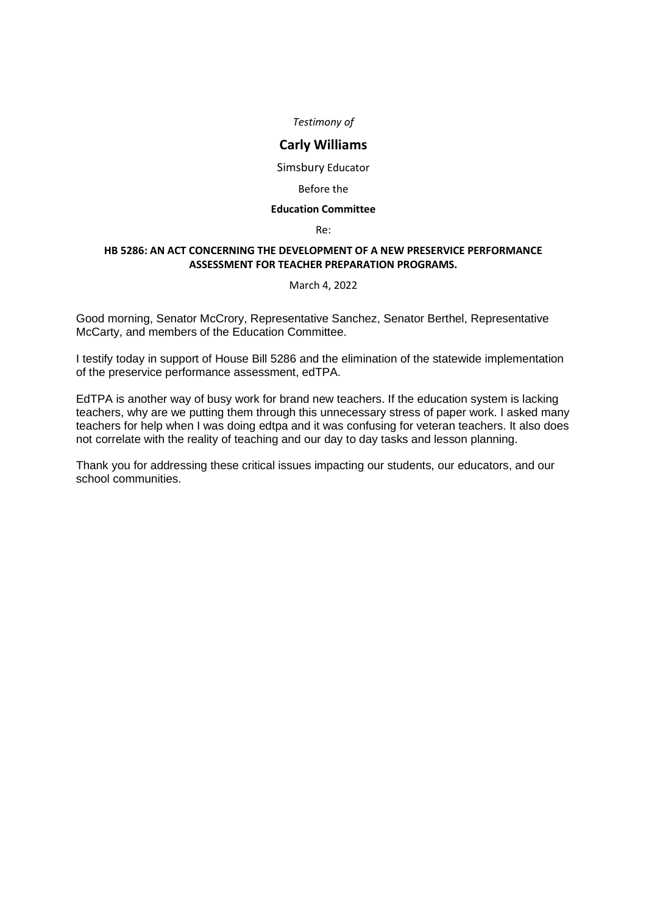## **Carly Williams**

Simsbury Educator

## Before the

## **Education Committee**

Re:

## **HB 5286: AN ACT CONCERNING THE DEVELOPMENT OF A NEW PRESERVICE PERFORMANCE ASSESSMENT FOR TEACHER PREPARATION PROGRAMS.**

### March 4, 2022

Good morning, Senator McCrory, Representative Sanchez, Senator Berthel, Representative McCarty, and members of the Education Committee.

I testify today in support of House Bill 5286 and the elimination of the statewide implementation of the preservice performance assessment, edTPA.

EdTPA is another way of busy work for brand new teachers. If the education system is lacking teachers, why are we putting them through this unnecessary stress of paper work. I asked many teachers for help when I was doing edtpa and it was confusing for veteran teachers. It also does not correlate with the reality of teaching and our day to day tasks and lesson planning.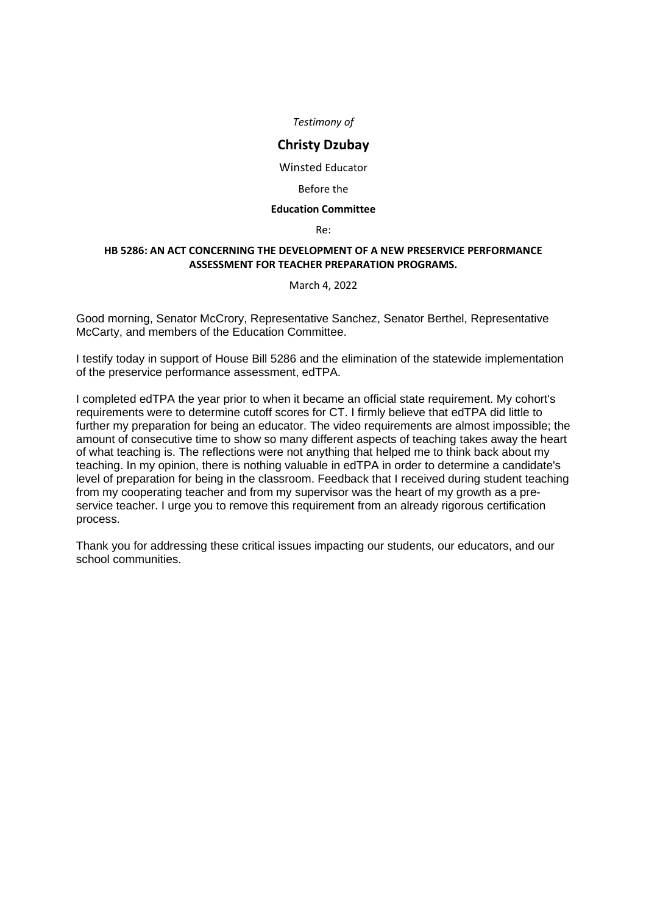## **Christy Dzubay**

Winsted Educator

#### Before the

#### **Education Committee**

Re:

## **HB 5286: AN ACT CONCERNING THE DEVELOPMENT OF A NEW PRESERVICE PERFORMANCE ASSESSMENT FOR TEACHER PREPARATION PROGRAMS.**

### March 4, 2022

Good morning, Senator McCrory, Representative Sanchez, Senator Berthel, Representative McCarty, and members of the Education Committee.

I testify today in support of House Bill 5286 and the elimination of the statewide implementation of the preservice performance assessment, edTPA.

I completed edTPA the year prior to when it became an official state requirement. My cohort's requirements were to determine cutoff scores for CT. I firmly believe that edTPA did little to further my preparation for being an educator. The video requirements are almost impossible; the amount of consecutive time to show so many different aspects of teaching takes away the heart of what teaching is. The reflections were not anything that helped me to think back about my teaching. In my opinion, there is nothing valuable in edTPA in order to determine a candidate's level of preparation for being in the classroom. Feedback that I received during student teaching from my cooperating teacher and from my supervisor was the heart of my growth as a preservice teacher. I urge you to remove this requirement from an already rigorous certification process.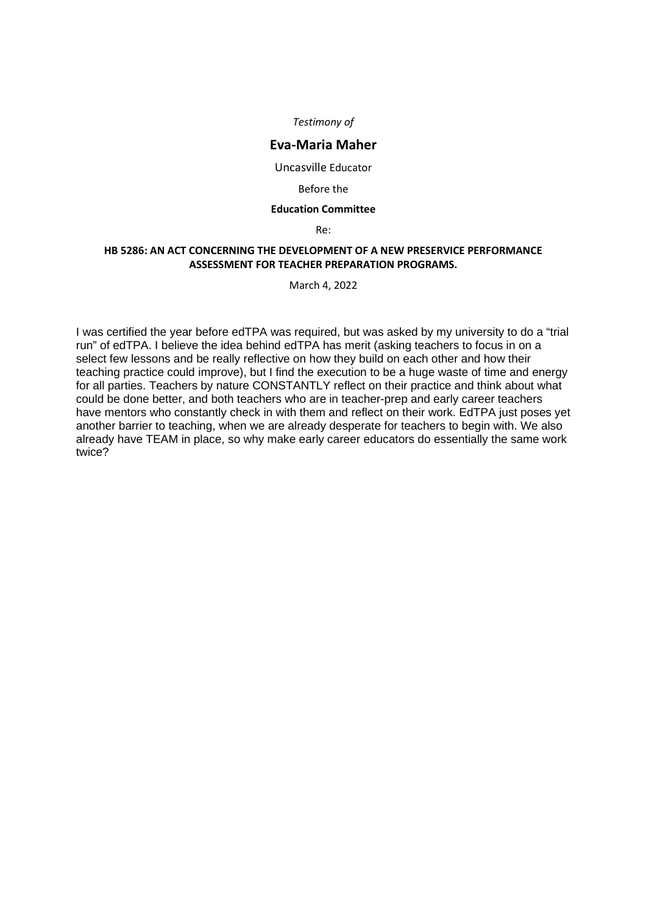## **Eva-Maria Maher**

Uncasville Educator

#### Before the

#### **Education Committee**

Re:

## **HB 5286: AN ACT CONCERNING THE DEVELOPMENT OF A NEW PRESERVICE PERFORMANCE ASSESSMENT FOR TEACHER PREPARATION PROGRAMS.**

March 4, 2022

I was certified the year before edTPA was required, but was asked by my university to do a "trial run" of edTPA. I believe the idea behind edTPA has merit (asking teachers to focus in on a select few lessons and be really reflective on how they build on each other and how their teaching practice could improve), but I find the execution to be a huge waste of time and energy for all parties. Teachers by nature CONSTANTLY reflect on their practice and think about what could be done better, and both teachers who are in teacher-prep and early career teachers have mentors who constantly check in with them and reflect on their work. EdTPA just poses yet another barrier to teaching, when we are already desperate for teachers to begin with. We also already have TEAM in place, so why make early career educators do essentially the same work twice?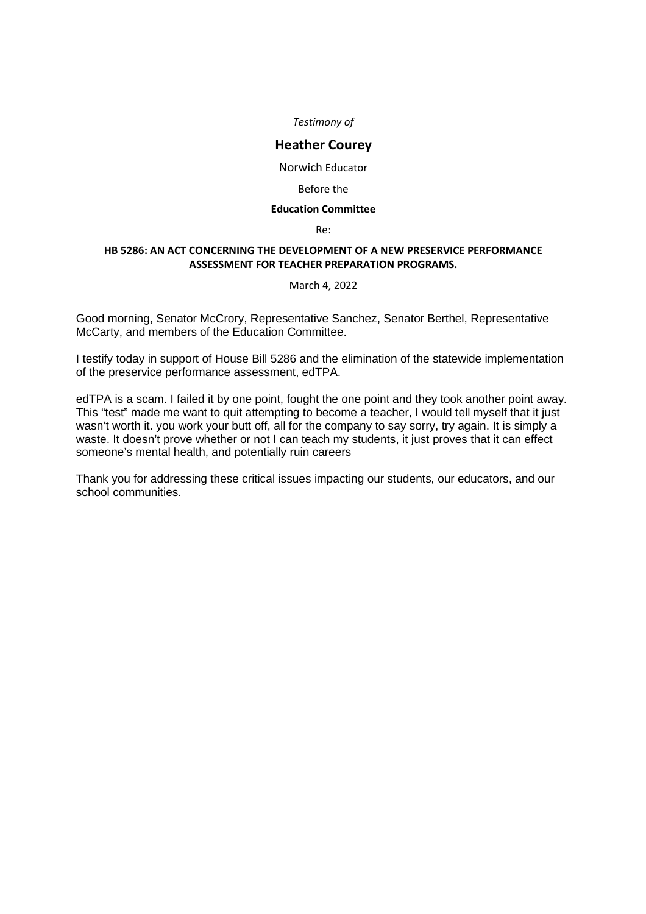## **Heather Courey**

Norwich Educator

### Before the

### **Education Committee**

Re:

## **HB 5286: AN ACT CONCERNING THE DEVELOPMENT OF A NEW PRESERVICE PERFORMANCE ASSESSMENT FOR TEACHER PREPARATION PROGRAMS.**

### March 4, 2022

Good morning, Senator McCrory, Representative Sanchez, Senator Berthel, Representative McCarty, and members of the Education Committee.

I testify today in support of House Bill 5286 and the elimination of the statewide implementation of the preservice performance assessment, edTPA.

edTPA is a scam. I failed it by one point, fought the one point and they took another point away. This "test" made me want to quit attempting to become a teacher, I would tell myself that it just wasn't worth it. you work your butt off, all for the company to say sorry, try again. It is simply a waste. It doesn't prove whether or not I can teach my students, it just proves that it can effect someone's mental health, and potentially ruin careers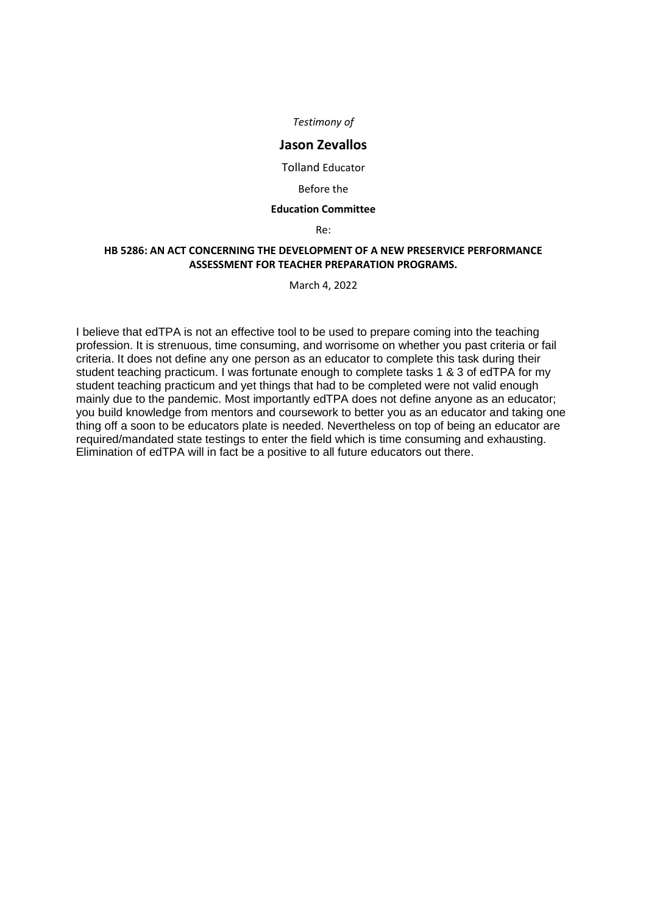## **Jason Zevallos**

Tolland Educator

#### Before the

## **Education Committee**

Re:

## **HB 5286: AN ACT CONCERNING THE DEVELOPMENT OF A NEW PRESERVICE PERFORMANCE ASSESSMENT FOR TEACHER PREPARATION PROGRAMS.**

March 4, 2022

I believe that edTPA is not an effective tool to be used to prepare coming into the teaching profession. It is strenuous, time consuming, and worrisome on whether you past criteria or fail criteria. It does not define any one person as an educator to complete this task during their student teaching practicum. I was fortunate enough to complete tasks 1 & 3 of edTPA for my student teaching practicum and yet things that had to be completed were not valid enough mainly due to the pandemic. Most importantly edTPA does not define anyone as an educator; you build knowledge from mentors and coursework to better you as an educator and taking one thing off a soon to be educators plate is needed. Nevertheless on top of being an educator are required/mandated state testings to enter the field which is time consuming and exhausting. Elimination of edTPA will in fact be a positive to all future educators out there.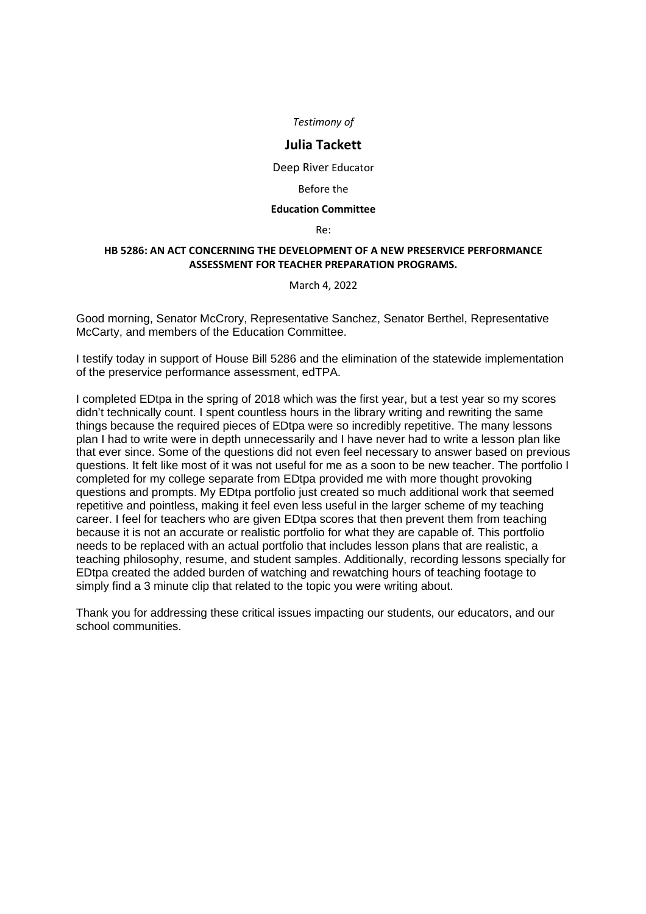## **Julia Tackett**

Deep River Educator

### Before the

### **Education Committee**

Re:

## **HB 5286: AN ACT CONCERNING THE DEVELOPMENT OF A NEW PRESERVICE PERFORMANCE ASSESSMENT FOR TEACHER PREPARATION PROGRAMS.**

### March 4, 2022

Good morning, Senator McCrory, Representative Sanchez, Senator Berthel, Representative McCarty, and members of the Education Committee.

I testify today in support of House Bill 5286 and the elimination of the statewide implementation of the preservice performance assessment, edTPA.

I completed EDtpa in the spring of 2018 which was the first year, but a test year so my scores didn't technically count. I spent countless hours in the library writing and rewriting the same things because the required pieces of EDtpa were so incredibly repetitive. The many lessons plan I had to write were in depth unnecessarily and I have never had to write a lesson plan like that ever since. Some of the questions did not even feel necessary to answer based on previous questions. It felt like most of it was not useful for me as a soon to be new teacher. The portfolio I completed for my college separate from EDtpa provided me with more thought provoking questions and prompts. My EDtpa portfolio just created so much additional work that seemed repetitive and pointless, making it feel even less useful in the larger scheme of my teaching career. I feel for teachers who are given EDtpa scores that then prevent them from teaching because it is not an accurate or realistic portfolio for what they are capable of. This portfolio needs to be replaced with an actual portfolio that includes lesson plans that are realistic, a teaching philosophy, resume, and student samples. Additionally, recording lessons specially for EDtpa created the added burden of watching and rewatching hours of teaching footage to simply find a 3 minute clip that related to the topic you were writing about.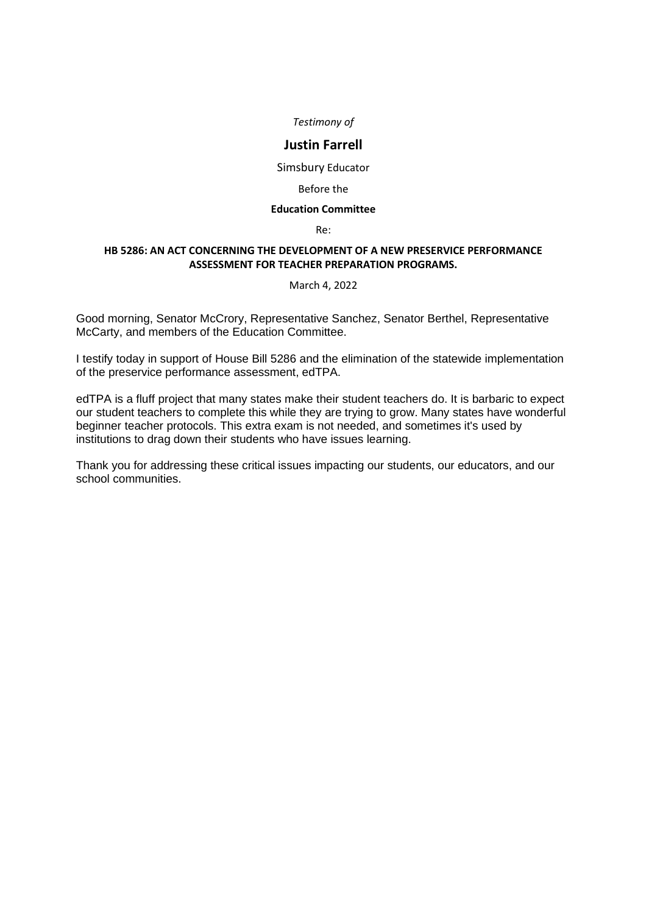## **Justin Farrell**

Simsbury Educator

### Before the

## **Education Committee**

Re:

## **HB 5286: AN ACT CONCERNING THE DEVELOPMENT OF A NEW PRESERVICE PERFORMANCE ASSESSMENT FOR TEACHER PREPARATION PROGRAMS.**

### March 4, 2022

Good morning, Senator McCrory, Representative Sanchez, Senator Berthel, Representative McCarty, and members of the Education Committee.

I testify today in support of House Bill 5286 and the elimination of the statewide implementation of the preservice performance assessment, edTPA.

edTPA is a fluff project that many states make their student teachers do. It is barbaric to expect our student teachers to complete this while they are trying to grow. Many states have wonderful beginner teacher protocols. This extra exam is not needed, and sometimes it's used by institutions to drag down their students who have issues learning.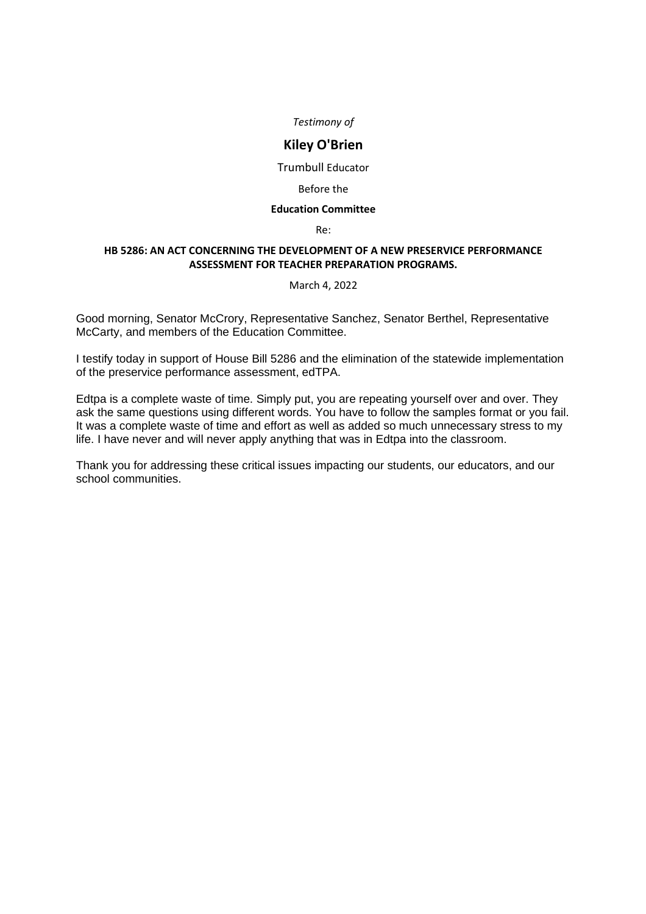## **Kiley O'Brien**

Trumbull Educator

### Before the

## **Education Committee**

Re:

## **HB 5286: AN ACT CONCERNING THE DEVELOPMENT OF A NEW PRESERVICE PERFORMANCE ASSESSMENT FOR TEACHER PREPARATION PROGRAMS.**

#### March 4, 2022

Good morning, Senator McCrory, Representative Sanchez, Senator Berthel, Representative McCarty, and members of the Education Committee.

I testify today in support of House Bill 5286 and the elimination of the statewide implementation of the preservice performance assessment, edTPA.

Edtpa is a complete waste of time. Simply put, you are repeating yourself over and over. They ask the same questions using different words. You have to follow the samples format or you fail. It was a complete waste of time and effort as well as added so much unnecessary stress to my life. I have never and will never apply anything that was in Edtpa into the classroom.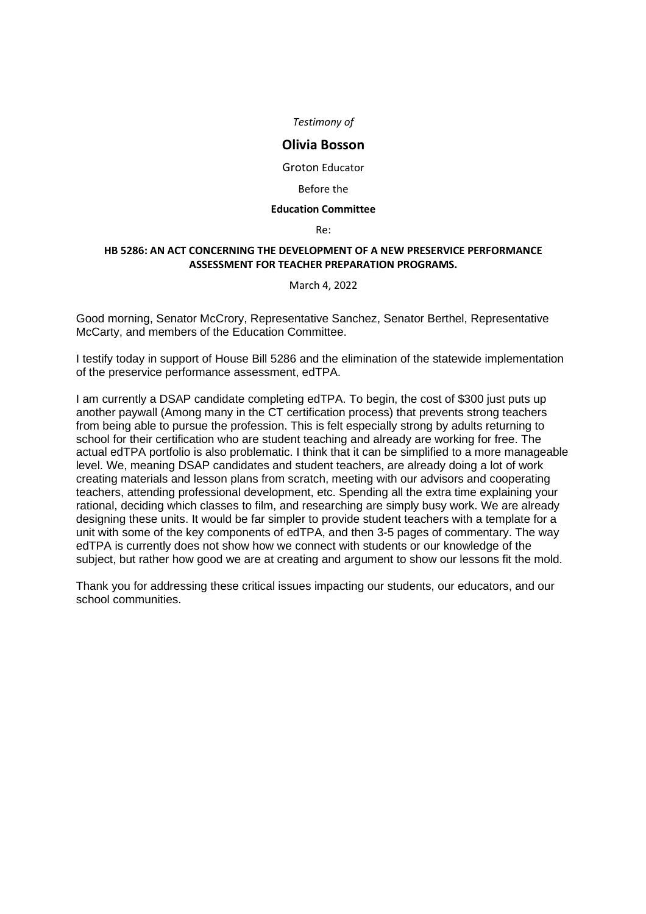## **Olivia Bosson**

Groton Educator

#### Before the

#### **Education Committee**

Re:

## **HB 5286: AN ACT CONCERNING THE DEVELOPMENT OF A NEW PRESERVICE PERFORMANCE ASSESSMENT FOR TEACHER PREPARATION PROGRAMS.**

### March 4, 2022

Good morning, Senator McCrory, Representative Sanchez, Senator Berthel, Representative McCarty, and members of the Education Committee.

I testify today in support of House Bill 5286 and the elimination of the statewide implementation of the preservice performance assessment, edTPA.

I am currently a DSAP candidate completing edTPA. To begin, the cost of \$300 just puts up another paywall (Among many in the CT certification process) that prevents strong teachers from being able to pursue the profession. This is felt especially strong by adults returning to school for their certification who are student teaching and already are working for free. The actual edTPA portfolio is also problematic. I think that it can be simplified to a more manageable level. We, meaning DSAP candidates and student teachers, are already doing a lot of work creating materials and lesson plans from scratch, meeting with our advisors and cooperating teachers, attending professional development, etc. Spending all the extra time explaining your rational, deciding which classes to film, and researching are simply busy work. We are already designing these units. It would be far simpler to provide student teachers with a template for a unit with some of the key components of edTPA, and then 3-5 pages of commentary. The way edTPA is currently does not show how we connect with students or our knowledge of the subject, but rather how good we are at creating and argument to show our lessons fit the mold.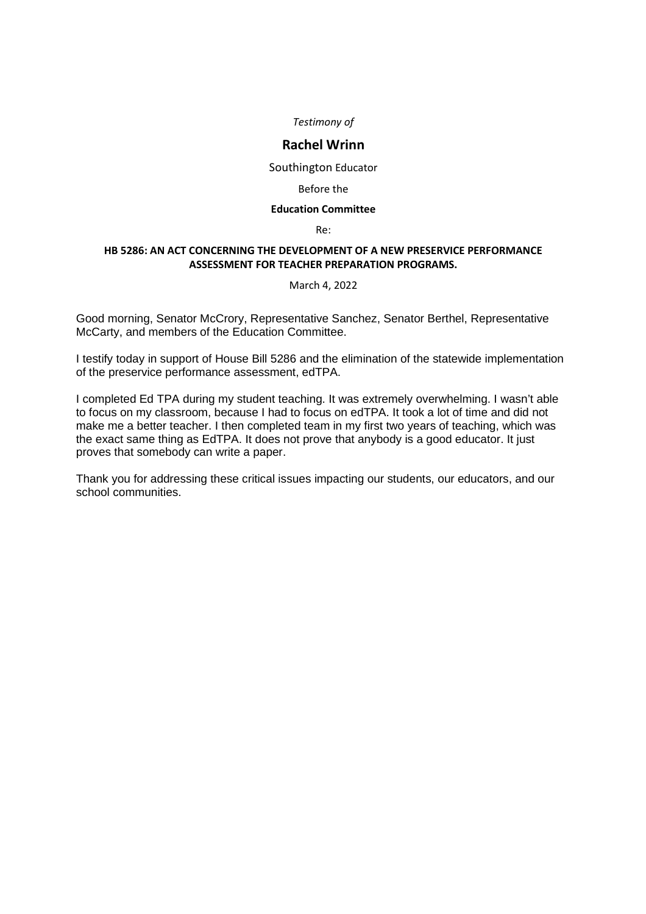## **Rachel Wrinn**

Southington Educator

#### Before the

### **Education Committee**

#### Re:

## **HB 5286: AN ACT CONCERNING THE DEVELOPMENT OF A NEW PRESERVICE PERFORMANCE ASSESSMENT FOR TEACHER PREPARATION PROGRAMS.**

#### March 4, 2022

Good morning, Senator McCrory, Representative Sanchez, Senator Berthel, Representative McCarty, and members of the Education Committee.

I testify today in support of House Bill 5286 and the elimination of the statewide implementation of the preservice performance assessment, edTPA.

I completed Ed TPA during my student teaching. It was extremely overwhelming. I wasn't able to focus on my classroom, because I had to focus on edTPA. It took a lot of time and did not make me a better teacher. I then completed team in my first two years of teaching, which was the exact same thing as EdTPA. It does not prove that anybody is a good educator. It just proves that somebody can write a paper.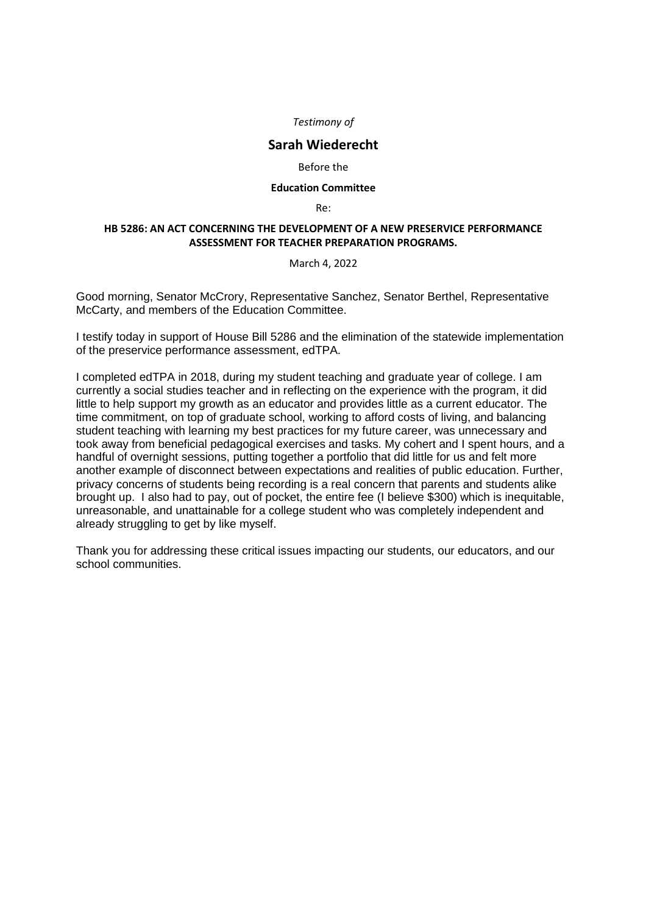## **Sarah Wiederecht**

#### Before the

#### **Education Committee**

Re:

## **HB 5286: AN ACT CONCERNING THE DEVELOPMENT OF A NEW PRESERVICE PERFORMANCE ASSESSMENT FOR TEACHER PREPARATION PROGRAMS.**

March 4, 2022

Good morning, Senator McCrory, Representative Sanchez, Senator Berthel, Representative McCarty, and members of the Education Committee.

I testify today in support of House Bill 5286 and the elimination of the statewide implementation of the preservice performance assessment, edTPA.

I completed edTPA in 2018, during my student teaching and graduate year of college. I am currently a social studies teacher and in reflecting on the experience with the program, it did little to help support my growth as an educator and provides little as a current educator. The time commitment, on top of graduate school, working to afford costs of living, and balancing student teaching with learning my best practices for my future career, was unnecessary and took away from beneficial pedagogical exercises and tasks. My cohert and I spent hours, and a handful of overnight sessions, putting together a portfolio that did little for us and felt more another example of disconnect between expectations and realities of public education. Further, privacy concerns of students being recording is a real concern that parents and students alike brought up. I also had to pay, out of pocket, the entire fee (I believe \$300) which is inequitable, unreasonable, and unattainable for a college student who was completely independent and already struggling to get by like myself.